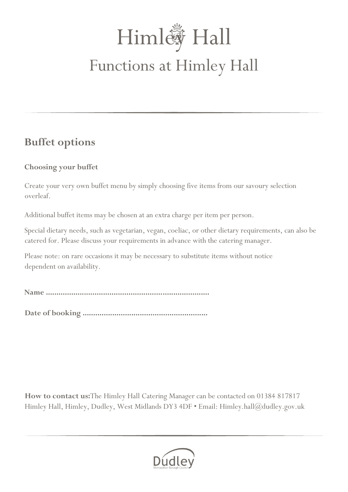# Himl / Hall Functions at Himley Hall

### **Buffet options**

#### **Choosing your buffet**

Create your very own buffet menu by simply choosing five items from our savoury selection overleaf.

Additional buffet items may be chosen at an extra charge per item per person.

Special dietary needs, such as vegetarian, vegan, coeliac, or other dietary requirements, can also be catered for. Please discuss your requirements in advance with the catering manager.

Please note: on rare occasions it may be necessary to substitute items without notice dependent on availability.

**Name .............................................................................**

**Date of booking ...........................................................**

**How to contact us:**The Himley Hall Catering Manager can be contacted on 01384 817817 Himley Hall, Himley, Dudley, West Midlands DY3 4DF • Email: Himley.hall@dudley.gov.uk

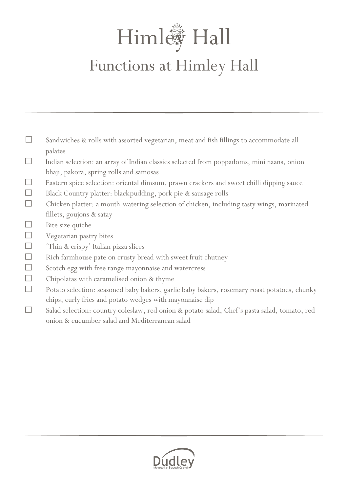## Himl / Hall Functions at Himley Hall

- $\Box$ Sandwiches & rolls with assorted vegetarian, meat and fish fillings to accommodate all palates  $\Box$ Indian selection: an array of Indian classics selected from poppadoms, mini naans, onion bhaji, pakora, spring rolls and samosas  $\Box$ Eastern spice selection: oriental dimsum, prawn crackers and sweet chilli dipping sauce  $\Box$ Black Country platter: blackpudding, pork pie & sausage rolls  $\Box$ Chicken platter: a mouth-watering selection of chicken, including tasty wings, marinated
	- fillets, goujons & satay
- $\Box$ Bite size quiche
- $\Box$ Vegetarian pastry bites
- $\Box$ 'Thin & crispy' Italian pizza slices
- $\Box$ Rich farmhouse pate on crusty bread with sweet fruit chutney
- $\Box$ Scotch egg with free range mayonnaise and watercress
- $\Box$ Chipolatas with caramelised onion & thyme
- $\Box$ Potato selection: seasoned baby bakers, garlic baby bakers, rosemary roast potatoes, chunky chips, curly fries and potato wedges with mayonnaise dip
- $\Box$ Salad selection: country coleslaw, red onion & potato salad, Chef's pasta salad, tomato, red onion & cucumber salad and Mediterranean salad